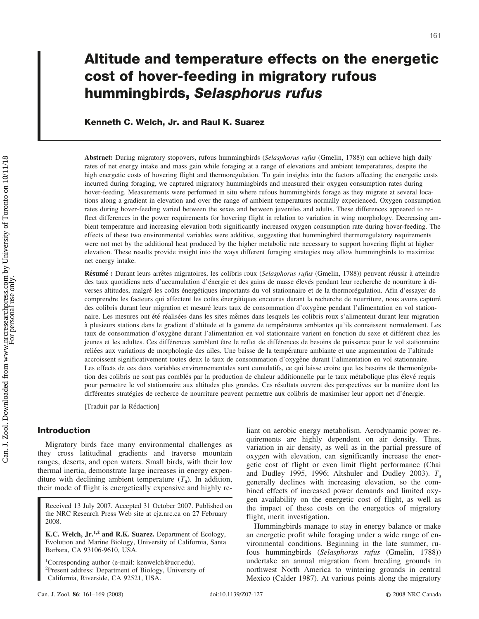# **Altitude and temperature effects on the energetic cost of hover-feeding in migratory rufous hummingbirds,** *Selasphorus rufus*

# **Kenneth C. Welch, Jr. and Raul K. Suarez**

**Abstract:** During migratory stopovers, rufous hummingbirds (*Selasphorus rufus* (Gmelin, 1788)) can achieve high daily rates of net energy intake and mass gain while foraging at a range of elevations and ambient temperatures, despite the high energetic costs of hovering flight and thermoregulation. To gain insights into the factors affecting the energetic costs incurred during foraging, we captured migratory hummingbirds and measured their oxygen consumption rates during hover-feeding. Measurements were performed in situ where rufous hummingbirds forage as they migrate at several locations along a gradient in elevation and over the range of ambient temperatures normally experienced. Oxygen consumption rates during hover-feeding varied between the sexes and between juveniles and adults. These differences appeared to reflect differences in the power requirements for hovering flight in relation to variation in wing morphology. Decreasing ambient temperature and increasing elevation both significantly increased oxygen consumption rate during hover-feeding. The effects of these two environmental variables were additive, suggesting that hummingbird thermoregulatory requirements were not met by the additional heat produced by the higher metabolic rate necessary to support hovering flight at higher elevation. These results provide insight into the ways different foraging strategies may allow hummingbirds to maximize net energy intake.

**Résumé** : Durant leurs arrêtes migratoires, les colibris roux (*Selasphorus rufus* (Gmelin, 1788)) peuvent réussir à atteindre des taux quotidiens nets d'accumulation d'énergie et des gains de masse élevés pendant leur recherche de nourriture à diverses altitudes, malgré les coûts énergétiques importants du vol stationnaire et de la thermorégulation. Afin d'essayer de comprendre les facteurs qui affectent les coûts énergétiques encourus durant la recherche de nourriture, nous avons capturé des colibris durant leur migration et mesuré leurs taux de consommation d'oxygène pendant l'alimentation en vol stationnaire. Les mesures ont été réalisées dans les sites mêmes dans lesquels les colibris roux s'alimentent durant leur migration à plusieurs stations dans le gradient d'altitude et la gamme de températures ambiantes qu'ils connaissent normalement. Les taux de consommation d'oxygène durant l'alimentation en vol stationnaire varient en fonction du sexe et différent chez les jeunes et les adultes. Ces différences semblent être le reflet de différences de besoins de puissance pour le vol stationnaire reliées aux variations de morphologie des ailes. Une baisse de la température ambiante et une augmentation de l'altitude accroissent significativement toutes deux le taux de consommation d'oxygène durant l'alimentation en vol stationnaire. Les effects de ces deux variables environnementales sont cumulatifs, ce qui laisse croire que les besoins de thermorégulation des colibris ne sont pas comblés par la production de chaleur additionnelle par le taux métabolique plus élevé requis pour permettre le vol stationnaire aux altitudes plus grandes. Ces résultats ouvrent des perspectives sur la manière dont les différentes stratégies de recherce de nourriture peuvent permettre aux colibris de maximiser leur apport net d'énergie.

[Traduit par la Rédaction]

## **Introduction**

Migratory birds face many environmental challenges as they cross latitudinal gradients and traverse mountain ranges, deserts, and open waters. Small birds, with their low thermal inertia, demonstrate large increases in energy expenditure with declining ambient temperature (*T*a). In addition, their mode of flight is energetically expensive and highly re-

Received 13 July 2007. Accepted 31 October 2007. Published on the NRC Research Press Web site at cjz.nrc.ca on 27 February 2008.

**K.C. Welch, Jr.1,2 and R.K. Suarez.** Department of Ecology, Evolution and Marine Biology, University of California, Santa Barbara, CA 93106-9610, USA.

<sup>1</sup>Corresponding author (e-mail: kenwelch@ucr.edu). 2Present address: Department of Biology, University of California, Riverside, CA 92521, USA.

liant on aerobic energy metabolism. Aerodynamic power requirements are highly dependent on air density. Thus, variation in air density, as well as in the partial pressure of oxygen with elevation, can significantly increase the energetic cost of flight or even limit flight performance (Chai and Dudley 1995, 1996; Altshuler and Dudley 2003). *T*<sup>a</sup> generally declines with increasing elevation, so the combined effects of increased power demands and limited oxygen availability on the energetic cost of flight, as well as the impact of these costs on the energetics of migratory flight, merit investigation.

Hummingbirds manage to stay in energy balance or make an energetic profit while foraging under a wide range of environmental conditions. Beginning in the late summer, rufous hummingbirds (*Selasphorus rufus* (Gmelin, 1788)) undertake an annual migration from breeding grounds in northwest North America to wintering grounds in central Mexico (Calder 1987). At various points along the migratory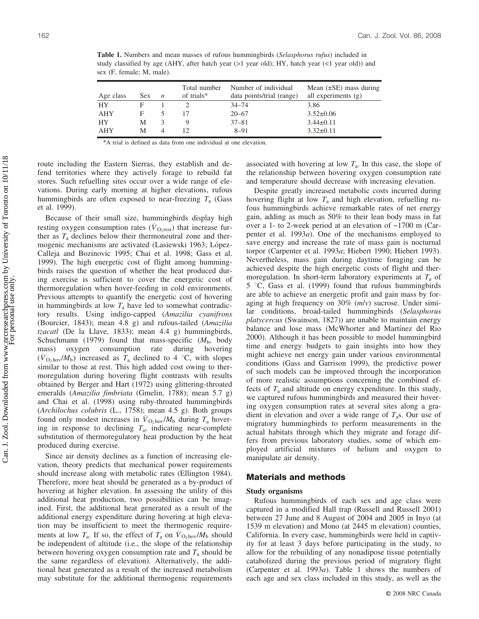study classified by age (AHY, after hatch year  $(>1$  year old); HY, hatch year  $(<1$  year old)) and sex (F, female; M, male). Total number Number of individual

**Table 1.** Numbers and mean masses of rufous hummingbirds (*Selasphorus rufus*) included in

| Age class | $Sex$ <i>n</i> | Total number<br>of trials* | Number of individual<br>data points/trial (range) | Mean $(\pm SE)$ mass during<br>all experiments $(g)$ |
|-----------|----------------|----------------------------|---------------------------------------------------|------------------------------------------------------|
| НY        |                |                            | $34 - 74$                                         | 3.86                                                 |
| AHY       |                |                            | $20 - 67$                                         | $3.52 \pm 0.06$                                      |
| НY        | М              |                            | $37 - 81$                                         | $3.44\pm0.11$                                        |
| AHY       | М              |                            | $8 - 91$                                          | $3.32 \pm 0.11$                                      |

\*A trial is defined as data from one individual at one elevation.

route including the Eastern Sierras, they establish and defend territories where they actively forage to rebuild fat stores. Such refuelling sites occur over a wide range of elevations. During early morning at higher elevations, rufous hummingbirds are often exposed to near-freezing *T*<sup>a</sup> (Gass et al. 1999).

Because of their small size, hummingbirds display high resting oxygen consumption rates ( $\dot{V}_{\text{O}_2 \text{rest}}$ ) that increase further as  $T_a$  declines below their thermoneutral zone and thermogenic mechanisms are activated (Lasiewski 1963; López-Calleja and Bozinovic 1995; Chai et al. 1998; Gass et al. 1999). The high energetic cost of flight among hummingbirds raises the question of whether the heat produced during exercise is sufficient to cover the energetic cost of thermoregulation when hover-feeding in cold environments. Previous attempts to quantify the energetic cost of hovering in hummingbirds at low  $T_a$  have led to somewhat contradictory results. Using indigo-capped (*Amazilia cyanifrons* (Bourcier, 1843); mean 4.8 g) and rufous-tailed (*Amazilia tzacatl* (De la Llave, 1833); mean 4.4 g) hummingbirds, Schuchmann (1979) found that mass-specific  $(M_b, \text{body}$  mass) oxygen consumption rate during hovering mass) oxygen consumption  $(\dot{V}_{\text{O}_2\text{hov}}/M_b)$  increased as  $T_a$  declined to 4 °C, with slopes similar to those at rest. This high added cost owing to thermoregulation during hovering flight contrasts with results obtained by Berger and Hart (1972) using glittering-throated emeralds (*Amazilia fimbriata* (Gmelin, 1788); mean 5.7 g) and Chai et al. (1998) using ruby-throated hummingbirds (*Archilochus colubris* (L., 1758); mean 4.5 g). Both groups found only modest increases in  $\dot{V}_{\text{O}_2\text{hov}}/M_\text{b}$  during  $T_\text{a}$  hovering in response to declining *T*a, indicating near-complete substitution of thermoregulatory heat production by the heat produced during exercise.

Since air density declines as a function of increasing elevation, theory predicts that mechanical power requirements should increase along with metabolic rates (Ellington 1984). Therefore, more heat should be generated as a by-product of hovering at higher elevation. In assessing the utility of this additional heat production, two possibilities can be imagined. First, the additional heat generated as a result of the additional energy expenditure during hovering at high elevation may be insufficient to meet the thermogenic requirements at low  $T_a$ . If so, the effect of  $T_a$  on  $\dot{V}_{\text{O}_2\text{hov}}/M_b$  should be independent of altitude (i.e., the slope of the relationship between hovering oxygen consumption rate and *T*<sup>a</sup> should be the same regardless of elevation). Alternatively, the additional heat generated as a result of the increased metabolism may substitute for the additional thermogenic requirements associated with hovering at low  $T_a$ . In this case, the slope of the relationship between hovering oxygen consumption rate and temperature should decrease with increasing elevation.

Despite greatly increased metabolic costs incurred during hovering flight at low  $T_a$  and high elevation, refuelling rufous hummingbirds achieve remarkable rates of net energy gain, adding as much as 50% to their lean body mass in fat over a 1- to 2-week period at an elevation of ~1700 m (Carpenter et al. 1993*a*). One of the mechanisms employed to save energy and increase the rate of mass gain is nocturnal torpor (Carpenter et al. 1993*a*; Hiebert 1990; Hiebert 1993). Nevertheless, mass gain during daytime foraging can be achieved despite the high energetic costs of flight and thermoregulation. In short-term laboratory experiments at *T*<sup>a</sup> of 5  $\degree$ C, Gass et al. (1999) found that rufous humming birds are able to achieve an energetic profit and gain mass by foraging at high frequency on 30% (*m*/*v*) sucrose. Under similar conditions, broad-tailed hummingbirds (*Selasphorus platycercus* (Swainson, 1827)) are unable to maintain energy balance and lose mass (McWhorter and Martínez del Rio 2000). Although it has been possible to model hummingbird time and energy budgets to gain insights into how they might achieve net energy gain under various environmental conditions (Gass and Garrison 1999), the predictive power of such models can be improved through the incorporation of more realistic assumptions concerning the combined effects of *T*<sup>a</sup> and altitude on energy expenditure. In this study, we captured rufous hummingbirds and measured their hovering oxygen consumption rates at several sites along a gradient in elevation and over a wide range of  $T_a$ s. Our use of migratory hummingbirds to perform measurements in the actual habitats through which they migrate and forage differs from previous laboratory studies, some of which employed artificial mixtures of helium and oxygen to manipulate air density.

## **Materials and methods**

#### **Study organisms**

Rufous hummingbirds of each sex and age class were captured in a modified Hall trap (Russell and Russell 2001) between 27 June and 8 August of 2004 and 2005 in Inyo (at 1539 m elevation) and Mono (at 2445 m elevation) counties, California. In every case, hummingbirds were held in captivity for at least 3 days before participating in the study, to allow for the rebuilding of any nonadipose tissue potentially catabolized during the previous period of migratory flight (Carpenter et al. 1993*a*). Table 1 shows the numbers of each age and sex class included in this study, as well as the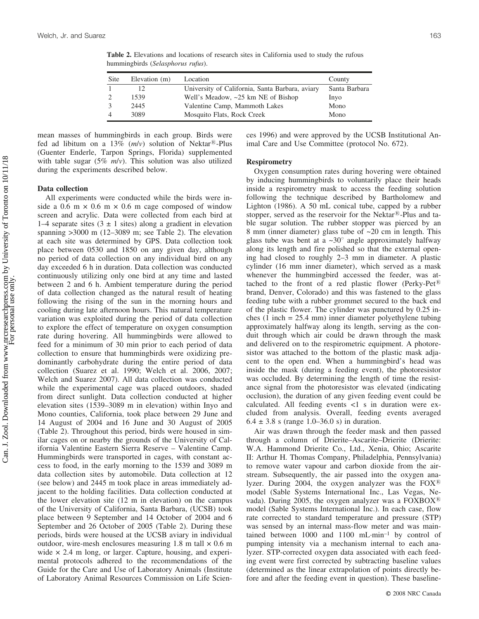**Table 2.** Elevations and locations of research sites in California used to study the rufous hummingbirds (*Selasphorus rufus*).

3 2445 Valentine Camp, Mammoth Lakes Mono 4 3089 Mosquito Flats, Rock Creek Mono

mean masses of hummingbirds in each group. Birds were fed ad libitum on a 13%  $(m/v)$  solution of Nektar<sup>®</sup>-Plus (Guenter Enderle, Tarpon Springs, Florida) supplemented with table sugar (5% *m*/*v*). This solution was also utilized during the experiments described below.

## **Data collection**

All experiments were conducted while the birds were inside a 0.6 m  $\times$  0.6 m  $\times$  0.6 m cage composed of window screen and acrylic. Data were collected from each bird at 1–4 separate sites  $(3 \pm 1)$  sites) along a gradient in elevation spanning >3000 m (12–3089 m; see Table 2). The elevation at each site was determined by GPS. Data collection took place between 0530 and 1850 on any given day, although no period of data collection on any individual bird on any day exceeded 6 h in duration. Data collection was conducted continuously utilizing only one bird at any time and lasted between 2 and 6 h. Ambient temperature during the period of data collection changed as the natural result of heating following the rising of the sun in the morning hours and cooling during late afternoon hours. This natural temperature variation was exploited during the period of data collection to explore the effect of temperature on oxygen consumption rate during hovering. All hummingbirds were allowed to feed for a minimum of 30 min prior to each period of data collection to ensure that hummingbirds were oxidizing predominantly carbohydrate during the entire period of data collection (Suarez et al. 1990; Welch et al. 2006, 2007; Welch and Suarez 2007). All data collection was conducted while the experimental cage was placed outdoors, shaded from direct sunlight. Data collection conducted at higher elevation sites (1539–3089 m in elevation) within Inyo and Mono counties, California, took place between 29 June and 14 August of 2004 and 16 June and 30 August of 2005 (Table 2). Throughout this period, birds were housed in similar cages on or nearby the grounds of the University of California Valentine Eastern Sierra Reserve – Valentine Camp. Hummingbirds were transported in cages, with constant access to food, in the early morning to the 1539 and 3089 m data collection sites by automobile. Data collection at 12 (see below) and 2445 m took place in areas immediately adjacent to the holding facilities. Data collection conducted at the lower elevation site (12 m in elevation) on the campus of the University of California, Santa Barbara, (UCSB) took place between 9 September and 14 October of 2004 and 6 September and 26 October of 2005 (Table 2). During these periods, birds were housed at the UCSB aviary in individual outdoor, wire-mesh enclosures measuring 1.8 m tall  $\times$  0.6 m wide  $\times$  2.4 m long, or larger. Capture, housing, and experimental protocols adhered to the recommendations of the Guide for the Care and Use of Laboratory Animals (Institute of Laboratory Animal Resources Commission on Life Sciences 1996) and were approved by the UCSB Institutional Animal Care and Use Committee (protocol No. 672).

## **Respirometry**

Oxygen consumption rates during hovering were obtained by inducing hummingbirds to voluntarily place their heads inside a respirometry mask to access the feeding solution following the technique described by Bartholomew and Lighton (1986). A 50 mL conical tube, capped by a rubber stopper, served as the reservoir for the Nektar $\mathbb{B}$ -Plus and table sugar solution. The rubber stopper was pierced by an 8 mm (inner diameter) glass tube of ~20 cm in length. This glass tube was bent at a  $\sim 30^\circ$  angle approximately halfway along its length and fire polished so that the external opening had closed to roughly 2–3 mm in diameter. A plastic cylinder (16 mm inner diameter), which served as a mask whenever the hummingbird accessed the feeder, was attached to the front of a red plastic flower (Perky-Pet<sup>®</sup>) brand, Denver, Colorado) and this was fastened to the glass feeding tube with a rubber grommet secured to the back end of the plastic flower. The cylinder was punctured by 0.25 inches (1 inch = 25.4 mm) inner diameter polyethylene tubing approximately halfway along its length, serving as the conduit through which air could be drawn through the mask and delivered on to the respirometric equipment. A photoresistor was attached to the bottom of the plastic mask adjacent to the open end. When a hummingbird's head was inside the mask (during a feeding event), the photoresistor was occluded. By determining the length of time the resistance signal from the photoresistor was elevated (indicating occlusion), the duration of any given feeding event could be calculated. All feeding events  $\langle 1 \rangle$  s in duration were excluded from analysis. Overall, feeding events averaged  $6.4 \pm 3.8$  s (range 1.0–36.0 s) in duration.

Air was drawn through the feeder mask and then passed through a column of Drierite–Ascarite–Drierite (Drierite: W.A. Hammond Drierite Co., Ltd., Xenia, Ohio; Ascarite II: Arthur H. Thomas Company, Philadelphia, Pennsylvania) to remove water vapour and carbon dioxide from the airstream. Subsequently, the air passed into the oxygen analyzer. During 2004, the oxygen analyzer was the  $FOX^{\otimes}$ model (Sable Systems International Inc., Las Vegas, Nevada). During 2005, the oxygen analyzer was a  $\text{FOXBOX}^{\text{R}}$ model (Sable Systems International Inc.). In each case, flow rate corrected to standard temperature and pressure (STP) was sensed by an internal mass-flow meter and was maintained between 1000 and 1100 mL-min–1 by control of pumping intensity via a mechanism internal to each analyzer. STP-corrected oxygen data associated with each feeding event were first corrected by subtracting baseline values (determined as the linear extrapolation of points directly before and after the feeding event in question). These baseline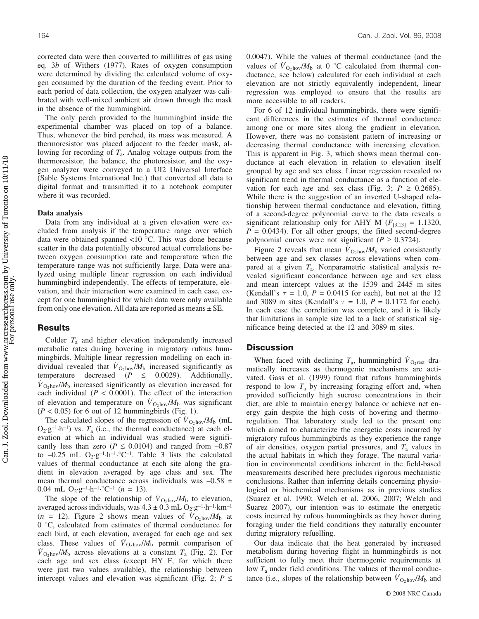corrected data were then converted to millilitres of gas using eq. 3*b* of Withers (1977). Rates of oxygen consumption were determined by dividing the calculated volume of oxygen consumed by the duration of the feeding event. Prior to each period of data collection, the oxygen analyzer was calibrated with well-mixed ambient air drawn through the mask in the absence of the hummingbird.

The only perch provided to the hummingbird inside the experimental chamber was placed on top of a balance. Thus, whenever the bird perched, its mass was measured. A thermoresistor was placed adjacent to the feeder mask, allowing for recording of *T*a. Analog voltage outputs from the thermoresistor, the balance, the photoresistor, and the oxygen analyzer were conveyed to a UI2 Universal Interface (Sable Systems International Inc.) that converted all data to digital format and transmitted it to a notebook computer where it was recorded.

#### **Data analysis**

Data from any individual at a given elevation were excluded from analysis if the temperature range over which data were obtained spanned <10  $\degree$ C. This was done because scatter in the data potentially obscured actual correlations between oxygen consumption rate and temperature when the temperature range was not sufficiently large. Data were analyzed using multiple linear regression on each individual hummingbird independently. The effects of temperature, elevation, and their interaction were examined in each case, except for one hummingbird for which data were only available from only one elevation. All data are reported as means  $\pm$  SE.

## **Results**

Colder  $T_a$  and higher elevation independently increased metabolic rates during hovering in migratory rufous hummingbirds. Multiple linear regression modelling on each individual revealed that  $\dot{V}_{\text{O}_2\text{hov}}/M_\text{b}$  increased significantly as temperature decreased  $(P \le 0.0029)$ . Additionally,  $\dot{V}_{\text{O}_2\text{hov}}/M_\text{b}$  increased significantly as elevation increased for each individual  $(P < 0.0001)$ . The effect of the interaction of elevation and temperature on  $\dot{V}_{\text{O}_2\text{hov}}/M_\text{b}$  was significant  $(P < 0.05)$  for 6 out of 12 hummingbirds (Fig. 1).

The calculated slopes of the regression of  $\dot{V}_{\text{O}_2\text{hov}}/M_\text{b}$  (mL  $O_2 \cdot g^{-1} \cdot h^{-1}$ ) vs.  $T_a$  (i.e., the thermal conductance) at each elevation at which an individual was studied were significantly less than zero ( $P \le 0.0104$ ) and ranged from  $-0.87$ to  $-0.25$  mL  $O_2 \cdot g^{-1} \cdot h^{-1} \cdot ^{\circ}C^{-1}$ . Table 3 lists the calculated values of thermal conductance at each site along the gradient in elevation averaged by age class and sex. The mean thermal conductance across individuals was  $-0.58 \pm$ 0.04 mL  $O_2 \cdot g^{-1} \cdot h^{-1} \cdot ^{\circ}C^{-1}$  (*n* = 13).

The slope of the relationship of  $\dot{V}_{\text{O}_2\text{hov}}/M_b$  to elevation, averaged across individuals, was  $4.3 \pm 0.3$  mL  $O_2 \cdot g^{-1} \cdot h^{-1} \cdot km^{-1}$  $(n = 12)$ . Figure 2 shows mean values of  $\hat{V}_{\text{O}_2\text{hov}}/M_{\text{b}}$  at 0 °C, calculated from estimates of thermal conductance for each bird, at each elevation, averaged for each age and sex class. These values of  $\dot{V}_{\text{O}_2\text{hov}}/M_\text{b}$  permit comparison of  $\dot{V}_{\text{O}_2\text{hov}}/M_\text{b}$  across elevations at a constant *T*<sub>a</sub> (Fig. 2). For each age and sex class (except HY F, for which there were just two values available), the relationship between intercept values and elevation was significant (Fig. 2;  $P \leq$  0.0047). While the values of thermal conductance (and the values of  $\dot{V}_{\text{O}_2\text{hov}}/M_\text{b}$  at 0 °C calculated from thermal conductance, see below) calculated for each individual at each elevation are not strictly equivalently independent, linear regression was employed to ensure that the results are more accessible to all readers.

For 6 of 12 individual hummingbirds, there were significant differences in the estimates of thermal conductance among one or more sites along the gradient in elevation. However, there was no consistent pattern of increasing or decreasing thermal conductance with increasing elevation. This is apparent in Fig. 3, which shows mean thermal conductance at each elevation in relation to elevation itself grouped by age and sex class. Linear regression revealed no significant trend in thermal conductance as a function of elevation for each age and sex class (Fig. 3;  $P \ge 0.2685$ ). While there is the suggestion of an inverted U-shaped relationship between thermal conductance and elevation, fitting of a second-degree polynomial curve to the data reveals a significant relationship only for AHY M  $(F_{[3,13]} = 1.1320$ ,  $P = 0.0434$ . For all other groups, the fitted second-degree polynomial curves were not significant ( $P \ge 0.3724$ ).

Figure 2 reveals that mean  $\dot{V}_{\text{O}_2\text{hov}}/M_\text{b}$  varied consistently between age and sex classes across elevations when compared at a given *T*a. Nonparametric statistical analysis revealed significant concordance between age and sex class and mean intercept values at the 1539 and 2445 m sites (Kendall's  $\tau = 1.0$ ,  $P = 0.0415$  for each), but not at the 12 and 3089 m sites (Kendall's  $\tau = 1.0$ ,  $P = 0.1172$  for each). In each case the correlation was complete, and it is likely that limitations in sample size led to a lack of statistical significance being detected at the 12 and 3089 m sites.

## **Discussion**

When faced with declining  $T_a$ , hummingbird  $\dot{V}_{O_2}$ <sub>rest</sub> dramatically increases as thermogenic mechanisms are activated. Gass et al. (1999) found that rufous hummingbirds respond to low  $T_a$  by increasing foraging effort and, when provided sufficiently high sucrose concentrations in their diet, are able to maintain energy balance or achieve net energy gain despite the high costs of hovering and thermoregulation. That laboratory study led to the present one which aimed to characterize the energetic costs incurred by migratory rufous hummingbirds as they experience the range of air densities, oxygen partial pressures, and *T*<sup>a</sup> values in the actual habitats in which they forage. The natural variation in environmental conditions inherent in the field-based measurements described here precludes rigorous mechanistic conclusions. Rather than inferring details concerning physiological or biochemical mechanisms as in previous studies (Suarez et al. 1990; Welch et al. 2006, 2007; Welch and Suarez 2007), our intention was to estimate the energetic costs incurred by rufous hummingbirds as they hover during foraging under the field conditions they naturally encounter during migratory refuelling.

Our data indicate that the heat generated by increased metabolism during hovering flight in hummingbirds is not sufficient to fully meet their thermogenic requirements at low *T*<sup>a</sup> under field conditions. The values of thermal conductance (i.e., slopes of the relationship between  $\dot{V}_{\text{O}_2\text{hov}}/M_\text{b}$  and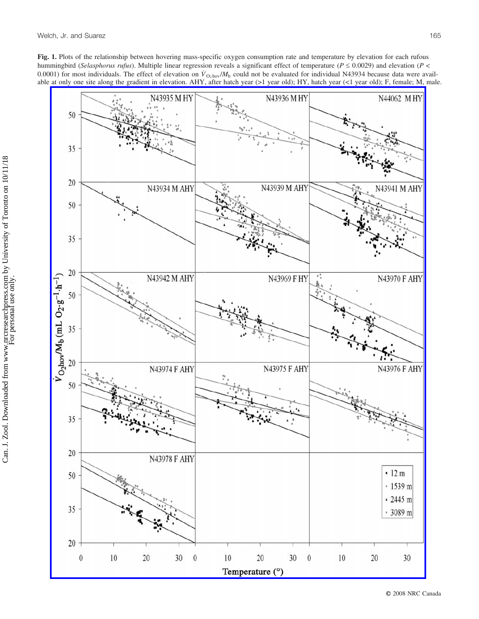**Fig. 1.** Plots of the relationship between hovering mass-specific oxygen consumption rate and temperature by elevation for each rufous hummingbird (*Selasphorus rufus*). Multiple linear regression reveals a significant effect of temperature ( $P \le 0.0029$ ) and elevation ( $P \le$ 0.0001) for most individuals. The effect of elevation on  $\dot{V}_{\text{O}_2\text{hov}}/M_b$  could not be evaluated for individual N43934 because data were available at only one site along the gradient in elevation. AHY, after hatch year (>1 year old); HY, hatch year (<1 year old); F, female; M, male.

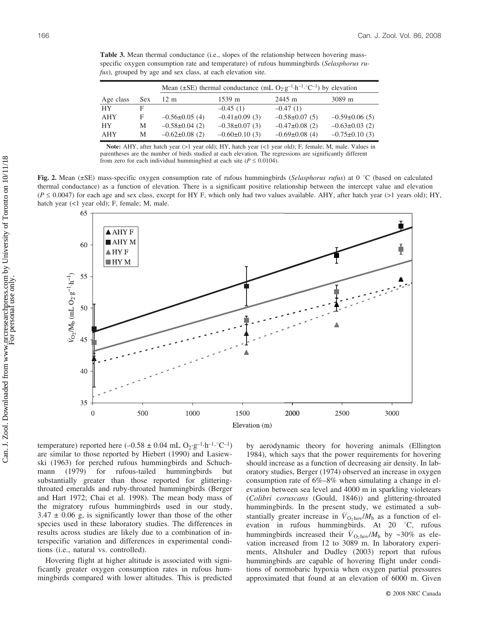**Table 3.** Mean thermal conductance (i.e., slopes of the relationship between hovering massspecific oxygen consumption rate and temperature) of rufous hummingbirds (*Selasphorus rufus*), grouped by age and sex class, at each elevation site.

|           |     | Mean ( $\pm$ SE) thermal conductance (mL O <sub>2</sub> ·g <sup>-1</sup> ·h <sup>-1</sup> ·°C <sup>-1</sup> ) by elevation |                   |                    |                    |  |
|-----------|-----|----------------------------------------------------------------------------------------------------------------------------|-------------------|--------------------|--------------------|--|
| Age class | Sex | $12 \text{ m}$                                                                                                             | 1539 m            | 2445 m             | 3089 m             |  |
| <b>HY</b> | F   |                                                                                                                            | $-0.45(1)$        | $-0.47(1)$         |                    |  |
| AHY       | F   | $-0.56\pm0.05(4)$                                                                                                          | $-0.41\pm0.09(3)$ | $-0.58\pm0.07(5)$  | $-0.59\pm0.06(5)$  |  |
| <b>HY</b> | M   | $-0.58\pm0.04(2)$                                                                                                          | $-0.38\pm0.07(3)$ | $-0.47\pm0.08$ (2) | $-0.63\pm0.03$ (2) |  |
| AHY       | M   | $-0.62\pm0.08(2)$                                                                                                          | $-0.60\pm0.10(3)$ | $-0.69\pm0.08(4)$  | $-0.75\pm0.10(3)$  |  |

Note: AHY, after hatch year (>1 year old); HY, hatch year (<1 year old); F, female; M, male. Values in parentheses are the number of birds studied at each elevation. The regressions are significantly different from zero for each individual hummingbird at each site ( $P \le 0.0104$ ).

**Fig. 2.** Mean ( $\pm$ SE) mass-specific oxygen consumption rate of rufous hummingbirds (*Selasphorus rufus*) at 0 °C (based on calculated thermal conductance) as a function of elevation. There is a significant positive relationship between the intercept value and elevation  $(P \le 0.0047)$  for each age and sex class, except for HY F, which only had two values available. AHY, after hatch year (>1 years old); HY, hatch year (<1 year old); F, female; M, male.



temperature) reported here  $(-0.58 \pm 0.04 \text{ mL O}_2 \cdot \text{g}^{-1} \cdot \text{h}^{-1} \cdot \text{C}^{-1})$ are similar to those reported by Hiebert (1990) and Lasiewski (1963) for perched rufous hummingbirds and Schuchmann (1979) for rufous-tailed hummingbirds but substantially greater than those reported for glitteringthroated emeralds and ruby-throated hummingbirds (Berger and Hart 1972; Chai et al. 1998). The mean body mass of the migratory rufous hummingbirds used in our study,  $3.47 \pm 0.06$  g, is significantly lower than those of the other species used in these laboratory studies. The differences in results across studies are likely due to a combination of interspecific variation and differences in experimental conditions (i.e., natural vs. controlled).

Hovering flight at higher altitude is associated with significantly greater oxygen consumption rates in rufous hummingbirds compared with lower altitudes. This is predicted by aerodynamic theory for hovering animals (Ellington 1984), which says that the power requirements for hovering should increase as a function of decreasing air density. In laboratory studies, Berger (1974) observed an increase in oxygen consumption rate of 6%–8% when simulating a change in elevation between sea level and 4000 m in sparkling violetears (*Colibri coruscans* (Gould, 1846)) and glittering-throated hummingbirds. In the present study, we estimated a substantially greater increase in  $\dot{V}_{\text{O}_2\text{hov}}/M_\text{b}$  as a function of elevation in rufous hummingbirds. At  $20^\circ\text{C}$ , rufous hummingbirds increased their  $\dot{V}_{\text{O}_2\text{hov}}/M_\text{b}$  by ~30% as elevation increased from 12 to 3089 m. In laboratory experiments, Altshuler and Dudley (2003) report that rufous hummingbirds are capable of hovering flight under conditions of normobaric hypoxia when oxygen partial pressures approximated that found at an elevation of 6000 m. Given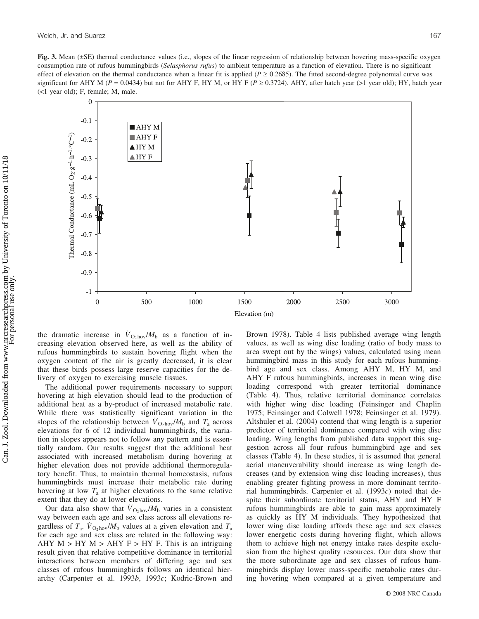**Fig. 3.** Mean (±SE) thermal conductance values (i.e., slopes of the linear regression of relationship between hovering mass-specific oxygen consumption rate of rufous hummingbirds (*Selasphorus rufus*) to ambient temperature as a function of elevation. There is no significant effect of elevation on the thermal conductance when a linear fit is applied ( $P \ge 0.2685$ ). The fitted second-degree polynomial curve was significant for AHY M ( $P = 0.0434$ ) but not for AHY F, HY M, or HY F ( $P \ge 0.3724$ ). AHY, after hatch year (>1 year old); HY, hatch year (<1 year old); F, female; M, male.



the dramatic increase in  $\dot{V}_{\text{O}_2\text{hov}}/M_b$  as a function of increasing elevation observed here, as well as the ability of rufous hummingbirds to sustain hovering flight when the oxygen content of the air is greatly decreased, it is clear that these birds possess large reserve capacities for the delivery of oxygen to exercising muscle tissues.

The additional power requirements necessary to support hovering at high elevation should lead to the production of additional heat as a by-product of increased metabolic rate. While there was statistically significant variation in the slopes of the relationship between  $\dot{V}_{\text{O}_2\text{hov}}/M_\text{b}$  and  $T_\text{a}$  across elevations for 6 of 12 individual hummingbirds, the variation in slopes appears not to follow any pattern and is essentially random. Our results suggest that the additional heat associated with increased metabolism during hovering at higher elevation does not provide additional thermoregulatory benefit. Thus, to maintain thermal homeostasis, rufous hummingbirds must increase their metabolic rate during hovering at low *T*<sup>a</sup> at higher elevations to the same relative extent that they do at lower elevations.

Our data also show that  $\dot{V}_{\text{O}_2\text{hov}}/M_b$  varies in a consistent way between each age and sex class across all elevations regardless of  $T_a$ .  $\dot{V}_{\text{O}_2\text{hov}}/M_b$  values at a given elevation and  $T_a$ for each age and sex class are related in the following way: AHY  $M > HY$   $M >$  AHY  $F > HY$  F. This is an intriguing result given that relative competitive dominance in territorial interactions between members of differing age and sex classes of rufous hummingbirds follows an identical hierarchy (Carpenter et al. 1993*b*, 1993*c*; Kodric-Brown and

Brown 1978). Table 4 lists published average wing length values, as well as wing disc loading (ratio of body mass to area swept out by the wings) values, calculated using mean hummingbird mass in this study for each rufous hummingbird age and sex class. Among AHY M, HY M, and AHY F rufous hummingbirds, increases in mean wing disc loading correspond with greater territorial dominance (Table 4). Thus, relative territorial dominance correlates with higher wing disc loading (Feinsinger and Chaplin 1975; Feinsinger and Colwell 1978; Feinsinger et al. 1979). Altshuler et al. (2004) contend that wing length is a superior predictor of territorial dominance compared with wing disc loading. Wing lengths from published data support this suggestion across all four rufous hummingbird age and sex classes (Table 4). In these studies, it is assumed that general aerial maneuverability should increase as wing length decreases (and by extension wing disc loading increases), thus enabling greater fighting prowess in more dominant territorial hummingbirds. Carpenter et al. (1993*c*) noted that despite their subordinate territorial status, AHY and HY F rufous hummingbirds are able to gain mass approximately as quickly as HY M individuals. They hypothesized that lower wing disc loading affords these age and sex classes lower energetic costs during hovering flight, which allows them to achieve high net energy intake rates despite exclusion from the highest quality resources. Our data show that the more subordinate age and sex classes of rufous hummingbirds display lower mass-specific metabolic rates during hovering when compared at a given temperature and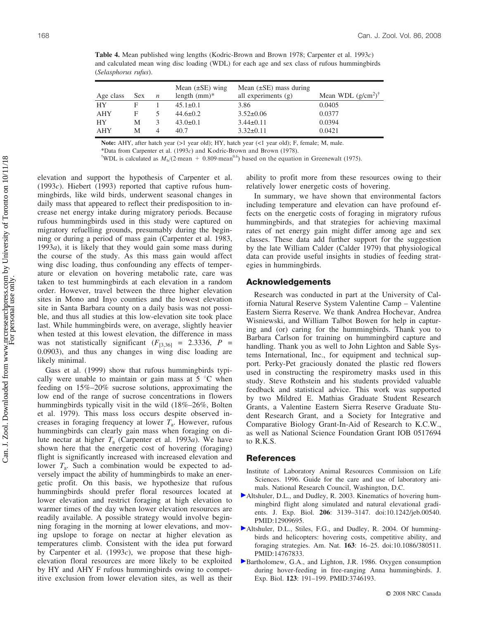**Table 4.** Mean published wing lengths (Kodric-Brown and Brown 1978; Carpenter et al. 1993*c*) and calculated mean wing disc loading (WDL) for each age and sex class of rufous hummingbirds (*Selasphorus rufus*).

| Age class | <b>Sex</b> | $\boldsymbol{n}$ | Mean $(\pm SE)$ wing<br>length $(mm)^*$ | Mean $(\pm SE)$ mass during<br>all experiments $(g)$ | Mean WDL $(g/cm^2)$ <sup>†</sup> |
|-----------|------------|------------------|-----------------------------------------|------------------------------------------------------|----------------------------------|
| HY        | E          |                  | $45.1 \pm 0.1$                          | 3.86                                                 | 0.0405                           |
| AHY       | F          |                  | $44.6 \pm 0.2$                          | $3.52 \pm 0.06$                                      | 0.0377                           |
| HY        | М          | 3                | $43.0 \pm 0.1$                          | $3.44\pm0.11$                                        | 0.0394                           |
| AHY       | М          |                  | 40.7                                    | $3.32 \pm 0.11$                                      | 0.0421                           |

Note: AHY, after hatch year (>1 year old); HY, hatch year (<1 year old); F, female; M, male.

\*Data from Carpenter et al. (1993 $c$ ) and Kodric-Brown and Brown (1978).

<sup>†</sup>WDL is calculated as  $M_b/(2 \text{ mean } + 0.809 \text{ mean}^{0.6})$  based on the equation in Greenewalt (1975).

elevation and support the hypothesis of Carpenter et al. (1993*c*). Hiebert (1993) reported that captive rufous hummingbirds, like wild birds, underwent seasonal changes in daily mass that appeared to reflect their predisposition to increase net energy intake during migratory periods. Because rufous hummingbirds used in this study were captured on migratory refuelling grounds, presumably during the beginning or during a period of mass gain (Carpenter et al. 1983, 1993*a*), it is likely that they would gain some mass during the course of the study. As this mass gain would affect wing disc loading, thus confounding any effects of temperature or elevation on hovering metabolic rate, care was taken to test hummingbirds at each elevation in a random order. However, travel between the three higher elevation sites in Mono and Inyo counties and the lowest elevation site in Santa Barbara county on a daily basis was not possible, and thus all studies at this low-elevation site took place last. While hummingbirds were, on average, slightly heavier when tested at this lowest elevation, the difference in mass was not statistically significant  $(F_{[3,36]} = 2.3336, P =$ 0.0903), and thus any changes in wing disc loading are likely minimal.

Gass et al. (1999) show that rufous hummingbirds typically were unable to maintain or gain mass at  $5^{\circ}$ C when feeding on 15%–20% sucrose solutions, approximating the low end of the range of sucrose concentrations in flowers hummingbirds typically visit in the wild (18%–26%, Bolten et al. 1979). This mass loss occurs despite observed increases in foraging frequency at lower  $T_a$ . However, rufous hummingbirds can clearly gain mass when foraging on dilute nectar at higher  $T_a$  (Carpenter et al. 1993*a*). We have shown here that the energetic cost of hovering (foraging) flight is significantly increased with increased elevation and lower  $T_a$ . Such a combination would be expected to adversely impact the ability of hummingbirds to make an energetic profit. On this basis, we hypothesize that rufous hummingbirds should prefer floral resources located at lower elevation and restrict foraging at high elevation to warmer times of the day when lower elevation resources are readily available. A possible strategy would involve beginning foraging in the morning at lower elevations, and moving upslope to forage on nectar at higher elevation as temperatures climb. Consistent with the idea put forward by Carpenter et al. (1993*c*), we propose that these highelevation floral resources are more likely to be exploited by HY and AHY F rufous hummingbirds owing to competitive exclusion from lower elevation sites, as well as their ability to profit more from these resources owing to their relatively lower energetic costs of hovering.

In summary, we have shown that environmental factors including temperature and elevation can have profound effects on the energetic costs of foraging in migratory rufous hummingbirds, and that strategies for achieving maximal rates of net energy gain might differ among age and sex classes. These data add further support for the suggestion by the late William Calder (Calder 1979) that physiological data can provide useful insights in studies of feeding strategies in hummingbirds.

#### **Acknowledgements**

Research was conducted in part at the University of California Natural Reserve System Valentine Camp – Valentine Eastern Sierra Reserve. We thank Andrea Hochevar, Andrea Wisniewski, and William Talbot Bowen for help in capturing and (or) caring for the hummingbirds. Thank you to Barbara Carlson for training on hummingbird capture and handling. Thank you as well to John Lighton and Sable Systems International, Inc., for equipment and technical support. Perky-Pet graciously donated the plastic red flowers used in constructing the respirometry masks used in this study. Steve Rothstein and his students provided valuable feedback and statistical advice. This work was supported by two Mildred E. Mathias Graduate Student Research Grants, a Valentine Eastern Sierra Reserve Graduate Student Research Grant, and a Society for Integrative and Comparative Biology Grant-In-Aid of Research to K.C.W., as well as National Science Foundation Grant IOB 0517694 to R.K.S.

#### **References**

- Institute of Laboratory Animal Resources Commission on Life Sciences. 1996. Guide for the care and use of laboratory animals. National Research Council, Washington, D.C.
- [A](http://www.nrcresearchpress.com/action/showLinks?doi=10.1139%2FZ07-127&pmid=12909695&crossref=10.1242%2Fjeb.00540&isi=000187393300007&citationId=p_2_1)ltshuler, D.L., and Dudley, R. 2003. Kinematics of hovering hummingbird flight along simulated and natural elevational gradients. J. Exp. Biol. **206**: 3139–3147. doi:10.1242/jeb.00540. PMID:12909695.
- [A](http://www.nrcresearchpress.com/action/showLinks?doi=10.1139%2FZ07-127&pmid=14767833&crossref=10.1086%2F380511&isi=000188954900003&citationId=p_3_1)ltshuler, D.L., Stiles, F.G., and Dudley, R. 2004. Of hummingbirds and helicopters: hovering costs, competitive ability, and foraging strategies. Am. Nat. **163**: 16–25. doi:10.1086/380511. PMID:14767833.
- [B](http://www.nrcresearchpress.com/action/showLinks?doi=10.1139%2FZ07-127&pmid=3746193&isi=A1986D157800013&citationId=p_4_1)artholomew, G.A., and Lighton, J.R. 1986. Oxygen consumption during hover-feeding in free-ranging Anna hummingbirds. J. Exp. Biol. **123**: 191–199. PMID:3746193.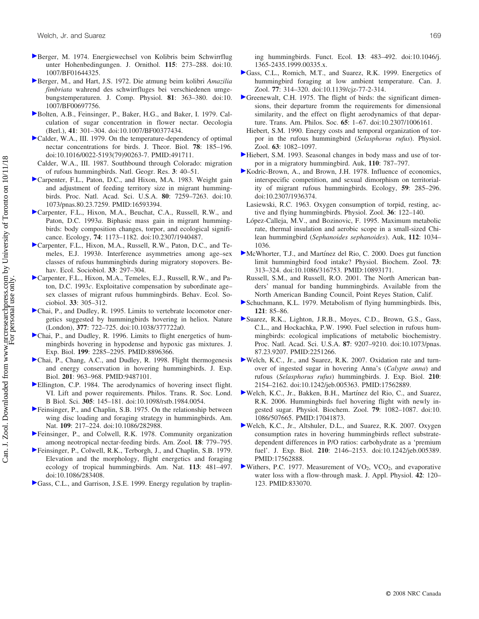- Berger, M. 1974. Energiewechsel von Kolibris beim Schwirrflug unter Hohenbedingungen. J. Ornithol. **115**: 273–288. doi:10. 1007/BF01644325.
- Berger, M., and Hart, J.S. 1972. Die atmung beim kolibri *Amazilia fimbriata* wahrend des schwirrfluges bei verschiedenen umgebungstemperaturen. J. Comp. Physiol. **81**: 363–380. doi:10. 1007/BF00697756.
- Bolten, A.B., Feinsinger, P., Baker, H.G., and Baker, I. 1979. Calculation of sugar concentration in flower nectar. Oecologia (Berl.), **41**: 301–304. doi:10.1007/BF00377434.
- Calder, W.A., III. 1979. On the temperature-dependency of optimal nectar concentrations for birds. J. Theor. Biol. **78**: 185–196. doi:10.1016/0022-5193(79)90263-7. PMID:491711.
- Calder, W.A., III. 1987. Southbound through Colorado: migration of rufous hummingbirds. Natl. Geogr. Res. **3**: 40–51.
- Carpenter, F.L., Paton, D.C., and Hixon, M.A. 1983. Weight gain and adjustment of feeding territory size in migrant hummingbirds. Proc. Natl. Acad. Sci. U.S.A. **80**: 7259–7263. doi:10. 1073/pnas.80.23.7259. PMID:16593394.
- Carpenter, F.L., Hixon, M.A., Beuchat, C.A., Russell, R.W., and Paton, D.C. 1993*a*. Biphasic mass gain in migrant hummingbirds: body composition changes, torpor, and ecological significance. Ecology, **74**: 1173–1182. doi:10.2307/1940487.
- Carpenter, F.L., Hixon, M.A., Russell, R.W., Paton, D.C., and Temeles, E.J. 1993*b*. Interference asymmetries among age–sex classes of rufous hummingbirds during migratory stopovers. Behav. Ecol. Sociobiol. **33**: 297–304.
- Carpenter, F.L., Hixon, M.A., Temeles, E.J., Russell, R.W., and Paton, D.C. 1993*c*. Exploitative compensation by subordinate age– sex classes of migrant rufous hummingbirds. Behav. Ecol. Sociobiol. **33**: 305–312.
- Chai, P., and Dudley, R. 1995. Limits to vertebrate locomotor energetics suggested by hummingbirds hovering in heliox. Nature (London), **377**: 722–725. doi:10.1038/377722a0.
- Chai, P., and Dudley, R. 1996. Limits to flight energetics of hummingbirds hovering in hypodense and hypoxic gas mixtures. J. Exp. Biol. **199**: 2285–2295. PMID:8896366.
- Chai, P., Chang, A.C., and Dudley, R. 1998. Flight thermogenesis and energy conservation in hovering hummingbirds. J. Exp. Biol. **201**: 963–968. PMID:9487101.
- Ellington, C.P. 1984. The aerodynamics of hovering insect flight. VI. Lift and power requirements. Philos. Trans. R. Soc. Lond. B Biol. Sci. **305**: 145–181. doi:10.1098/rstb.1984.0054.
- Feinsinger, P., and Chaplin, S.B. 1975. On the relationship between wing disc loading and foraging strategy in hummingbirds. Am. Nat. **109**: 217–224. doi:10.1086/282988.
- Feinsinger, P., and Colwell, R.K. 1978. Community organization among neotropical nectar-feeding birds. Am. Zool. **18**: 779–795.
- Feinsinger, P., Colwell, R.K., Terborgh, J., and Chaplin, S.B. 1979. Elevation and the morphology, flight energetics and foraging ecology of tropical hummingbirds. Am. Nat. **113**: 481–497. doi:10.1086/283408.
- Gass, C.L., and Garrison, J.S.E. 1999. Energy regulation by traplin-

ing hummingbirds. Funct. Ecol. **13**: 483–492. doi:10.1046/j. 1365-2435.1999.00335.x.

- [G](http://www.nrcresearchpress.com/action/showLinks?doi=10.1139%2FZ07-127&system=10.1139%2Fz98-221&isi=000082269700013&citationId=p_23_1)ass, C.L., Romich, M.T., and Suarez, R.K. 1999. Energetics of hummingbird foraging at low ambient temperature. Can. J. Zool. **77**: 314–320. doi:10.1139/cjz-77-2-314.
- [G](http://www.nrcresearchpress.com/action/showLinks?doi=10.1139%2FZ07-127&crossref=10.2307%2F1006161&citationId=p_24_1)reenewalt, C.H. 1975. The flight of birds: the significant dimensions, their departure fromm the requirements for dimensional similarity, and the effect on flight aerodynamics of that departure. Trans. Am. Philos. Soc. **65**: 1–67. doi:10.2307/1006161.
- Hiebert, S.M. 1990. Energy costs and temporal organization of torpor in the rufous hummingbird (*Selasphorus rufus*). Physiol. Zool. **63**: 1082–1097.
- [H](http://www.nrcresearchpress.com/action/showLinks?doi=10.1139%2FZ07-127&isi=A1993NL01100011&citationId=p_26_1)iebert, S.M. 1993. Seasonal changes in body mass and use of torpor in a migratory hummingbird. Auk, **110**: 787–797.
- [K](http://www.nrcresearchpress.com/action/showLinks?doi=10.1139%2FZ07-127&crossref=10.2307%2F1936374&citationId=p_27_1)odric-Brown, A., and Brown, J.H. 1978. Influence of economics, interspecific competition, and sexual dimorphism on territoriality of migrant rufous hummingbirds. Ecology, **59**: 285–296. doi:10.2307/1936374.
- Lasiewski, R.C. 1963. Oxygen consumption of torpid, resting, active and flying hummingbirds. Physiol. Zool. **36**: 122–140.
- López-Calleja, M.V., and Bozinovic, F. 1995. Maximum metabolic rate, thermal insulation and aerobic scope in a small-sized Chilean hummingbird (*Sephanoides sephanoides*). Auk, **112**: 1034– 1036.
- [M](http://www.nrcresearchpress.com/action/showLinks?doi=10.1139%2FZ07-127&pmid=10893171&crossref=10.1086%2F316753&isi=000088611300008&citationId=p_30_1)cWhorter, T.J., and Martínez del Rio, C. 2000. Does gut function limit hummingbird food intake? Physiol. Biochem. Zool. **73**: 313–324. doi:10.1086/316753. PMID:10893171.
- Russell, S.M., and Russell, R.O. 2001. The North American banders' manual for banding hummingbirds. Available from the North American Banding Council, Point Reyes Station, Calif.
- [S](http://www.nrcresearchpress.com/action/showLinks?doi=10.1139%2FZ07-127&isi=A1979GF09800009&citationId=p_32_1)chuchmann, K.L. 1979. Metabolism of flying hummingbirds. Ibis, **121**: 85–86.
- [S](http://www.nrcresearchpress.com/action/showLinks?doi=10.1139%2FZ07-127&pmid=2251266&crossref=10.1073%2Fpnas.87.23.9207&isi=A1990EL36600028&citationId=p_33_1)uarez, R.K., Lighton, J.R.B., Moyes, C.D., Brown, G.S., Gass, C.L., and Hockachka, P.W. 1990. Fuel selection in rufous hummingbirds: ecological implications of metabolic biochemistry. Proc. Natl. Acad. Sci. U.S.A. **87**: 9207–9210. doi:10.1073/pnas. 87.23.9207. PMID:2251266.
- [W](http://www.nrcresearchpress.com/action/showLinks?doi=10.1139%2FZ07-127&pmid=17562889&crossref=10.1242%2Fjeb.005363&isi=000247722400018&citationId=p_34_1)elch, K.C., Jr., and Suarez, R.K. 2007. Oxidation rate and turnover of ingested sugar in hovering Anna's (*Calypte anna*) and rufous (*Selasphorus rufus*) hummingbirds. J. Exp. Biol. **210**: 2154–2162. doi:10.1242/jeb.005363. PMID:17562889.
- [W](http://www.nrcresearchpress.com/action/showLinks?doi=10.1139%2FZ07-127&pmid=17041873&crossref=10.1086%2F507665&isi=000241381400010&citationId=p_35_1)elch, K.C., Jr., Bakken, B.H., Martínez del Rio, C., and Suarez, R.K. 2006. Hummingbirds fuel hovering flight with newly ingested sugar. Physiol. Biochem. Zool. **79**: 1082–1087. doi:10. 1086/507665. PMID:17041873.
- [W](http://www.nrcresearchpress.com/action/showLinks?doi=10.1139%2FZ07-127&pmid=17562888&crossref=10.1242%2Fjeb.005389&isi=000247722400017&citationId=p_36_1)elch, K.C., Jr., Altshuler, D.L., and Suarez, R.K. 2007. Oxygen consumption rates in hovering hummingbirds reflect substratedependent differences in P/O ratios: carbohydrate as a 'premium fuel'. J. Exp. Biol. **210**: 2146–2153. doi:10.1242/jeb.005389. PMID:17562888.
- [W](http://www.nrcresearchpress.com/action/showLinks?doi=10.1139%2FZ07-127&pmid=833070&isi=A1977CV05900021&citationId=p_37_1)ithers, P.C. 1977. Measurement of  $VO<sub>2</sub>$ , VCO<sub>2</sub>, and evaporative water loss with a flow-through mask. J. Appl. Physiol. **42**: 120– 123. PMID:833070.